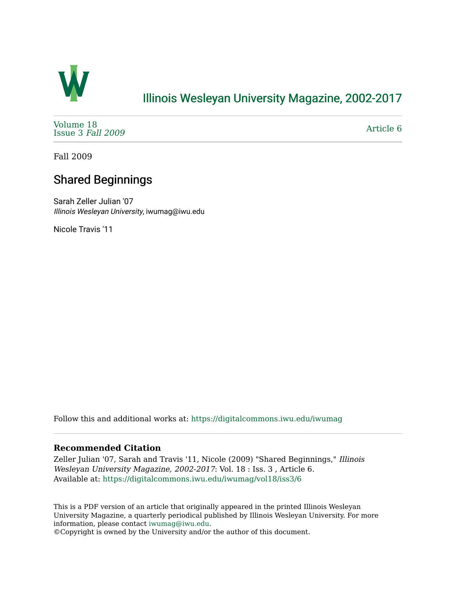

## [Illinois Wesleyan University Magazine, 2002-2017](https://digitalcommons.iwu.edu/iwumag)

[Volume 18](https://digitalcommons.iwu.edu/iwumag/vol18)  [Issue 3](https://digitalcommons.iwu.edu/iwumag/vol18/iss3) Fall 2009

[Article 6](https://digitalcommons.iwu.edu/iwumag/vol18/iss3/6) 

Fall 2009

## Shared Beginnings

Sarah Zeller Julian '07 Illinois Wesleyan University, iwumag@iwu.edu

Nicole Travis '11

Follow this and additional works at: [https://digitalcommons.iwu.edu/iwumag](https://digitalcommons.iwu.edu/iwumag?utm_source=digitalcommons.iwu.edu%2Fiwumag%2Fvol18%2Fiss3%2F6&utm_medium=PDF&utm_campaign=PDFCoverPages) 

#### **Recommended Citation**

Zeller Julian '07, Sarah and Travis '11, Nicole (2009) "Shared Beginnings," Illinois Wesleyan University Magazine, 2002-2017: Vol. 18 : Iss. 3 , Article 6. Available at: [https://digitalcommons.iwu.edu/iwumag/vol18/iss3/6](https://digitalcommons.iwu.edu/iwumag/vol18/iss3/6?utm_source=digitalcommons.iwu.edu%2Fiwumag%2Fvol18%2Fiss3%2F6&utm_medium=PDF&utm_campaign=PDFCoverPages)

This is a PDF version of an article that originally appeared in the printed Illinois Wesleyan University Magazine, a quarterly periodical published by Illinois Wesleyan University. For more information, please contact [iwumag@iwu.edu](mailto:iwumag@iwu.edu).

©Copyright is owned by the University and/or the author of this document.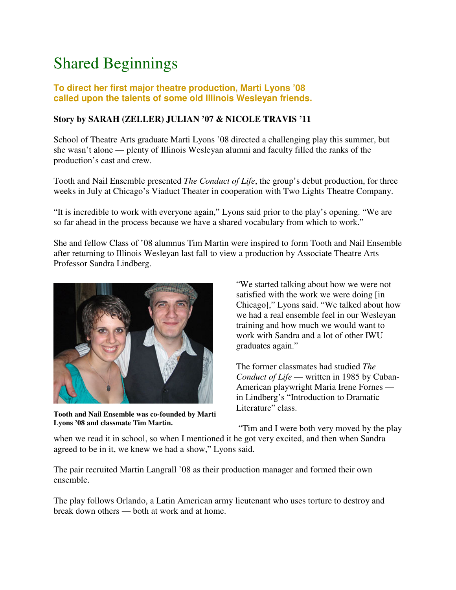# Shared Beginnings

### **To direct her first major theatre production, Marti Lyons '08 called upon the talents of some old Illinois Wesleyan friends.**

### **Story by SARAH (ZELLER) JULIAN '07 & NICOLE TRAVIS '11**

School of Theatre Arts graduate Marti Lyons '08 directed a challenging play this summer, but she wasn't alone — plenty of Illinois Wesleyan alumni and faculty filled the ranks of the production's cast and crew.

Tooth and Nail Ensemble presented *The Conduct of Life*, the group's debut production, for three weeks in July at Chicago's Viaduct Theater in cooperation with Two Lights Theatre Company.

"It is incredible to work with everyone again," Lyons said prior to the play's opening. "We are so far ahead in the process because we have a shared vocabulary from which to work."

She and fellow Class of '08 alumnus Tim Martin were inspired to form Tooth and Nail Ensemble after returning to Illinois Wesleyan last fall to view a production by Associate Theatre Arts Professor Sandra Lindberg.



**Tooth and Nail Ensemble was co-founded by Marti Lyons '08 and classmate Tim Martin.**

"We started talking about how we were not satisfied with the work we were doing [in Chicago]," Lyons said. "We talked about how we had a real ensemble feel in our Wesleyan training and how much we would want to work with Sandra and a lot of other IWU graduates again."

The former classmates had studied *The Conduct of Life* — written in 1985 by Cuban-American playwright Maria Irene Fornes in Lindberg's "Introduction to Dramatic Literature" class.

"Tim and I were both very moved by the play

when we read it in school, so when I mentioned it he got very excited, and then when Sandra agreed to be in it, we knew we had a show," Lyons said.

The pair recruited Martin Langrall '08 as their production manager and formed their own ensemble.

The play follows Orlando, a Latin American army lieutenant who uses torture to destroy and break down others — both at work and at home.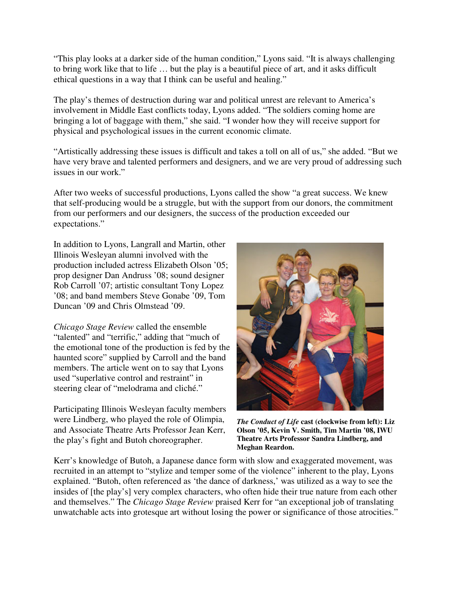"This play looks at a darker side of the human condition," Lyons said. "It is always challenging to bring work like that to life … but the play is a beautiful piece of art, and it asks difficult ethical questions in a way that I think can be useful and healing."

The play's themes of destruction during war and political unrest are relevant to America's involvement in Middle East conflicts today, Lyons added. "The soldiers coming home are bringing a lot of baggage with them," she said. "I wonder how they will receive support for physical and psychological issues in the current economic climate.

"Artistically addressing these issues is difficult and takes a toll on all of us," she added. "But we have very brave and talented performers and designers, and we are very proud of addressing such issues in our work."

After two weeks of successful productions, Lyons called the show "a great success. We knew that self-producing would be a struggle, but with the support from our donors, the commitment from our performers and our designers, the success of the production exceeded our expectations."

In addition to Lyons, Langrall and Martin, other Illinois Wesleyan alumni involved with the production included actress Elizabeth Olson '05; prop designer Dan Andruss '08; sound designer Rob Carroll '07; artistic consultant Tony Lopez '08; and band members Steve Gonabe '09, Tom Duncan '09 and Chris Olmstead '09.

*Chicago Stage Review* called the ensemble "talented" and "terrific," adding that "much of the emotional tone of the production is fed by the haunted score" supplied by Carroll and the band members. The article went on to say that Lyons used "superlative control and restraint" in steering clear of "melodrama and cliché."

Participating Illinois Wesleyan faculty members were Lindberg, who played the role of Olimpia, and Associate Theatre Arts Professor Jean Kerr, the play's fight and Butoh choreographer.



*The Conduct of Life* **cast (clockwise from left): Liz Olson '05, Kevin V. Smith, Tim Martin '08, IWU Theatre Arts Professor Sandra Lindberg, and Meghan Reardon.**

Kerr's knowledge of Butoh, a Japanese dance form with slow and exaggerated movement, was recruited in an attempt to "stylize and temper some of the violence" inherent to the play, Lyons explained. "Butoh, often referenced as 'the dance of darkness,' was utilized as a way to see the insides of [the play's] very complex characters, who often hide their true nature from each other and themselves." The *Chicago Stage Review* praised Kerr for "an exceptional job of translating unwatchable acts into grotesque art without losing the power or significance of those atrocities."